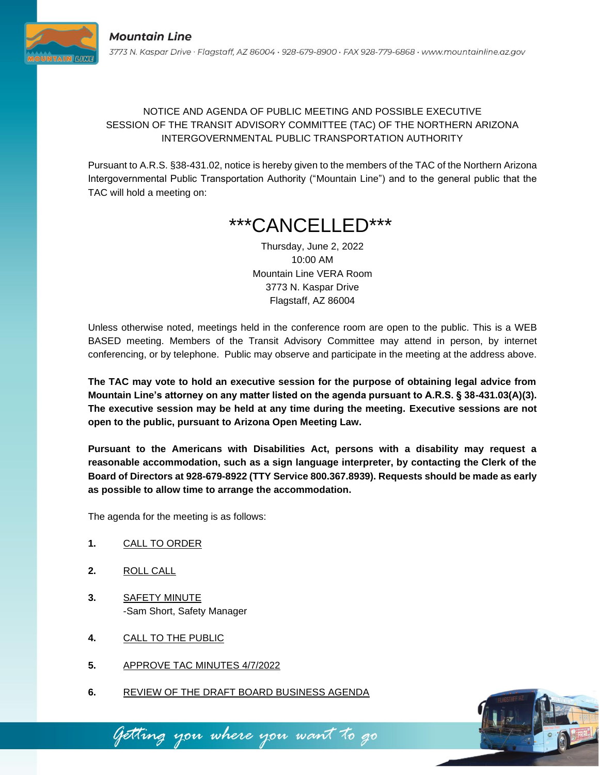

## NOTICE AND AGENDA OF PUBLIC MEETING AND POSSIBLE EXECUTIVE SESSION OF THE TRANSIT ADVISORY COMMITTEE (TAC) OF THE NORTHERN ARIZONA INTERGOVERNMENTAL PUBLIC TRANSPORTATION AUTHORITY

Pursuant to A.R.S. §38-431.02, notice is hereby given to the members of the TAC of the Northern Arizona Intergovernmental Public Transportation Authority ("Mountain Line") and to the general public that the TAC will hold a meeting on:

# \*\*\*CANCELLED\*\*\*

Thursday, June 2, 2022 10:00 AM Mountain Line VERA Room 3773 N. Kaspar Drive Flagstaff, AZ 86004

Unless otherwise noted, meetings held in the conference room are open to the public. This is a WEB BASED meeting. Members of the Transit Advisory Committee may attend in person, by internet conferencing, or by telephone. Public may observe and participate in the meeting at the address above.

**The TAC may vote to hold an executive session for the purpose of obtaining legal advice from Mountain Line's attorney on any matter listed on the agenda pursuant to A.R.S. § 38-431.03(A)(3). The executive session may be held at any time during the meeting. Executive sessions are not open to the public, pursuant to Arizona Open Meeting Law.**

**Pursuant to the Americans with Disabilities Act, persons with a disability may request a reasonable accommodation, such as a sign language interpreter, by contacting the Clerk of the Board of Directors at 928-679-8922 (TTY Service 800.367.8939). Requests should be made as early as possible to allow time to arrange the accommodation.**

The agenda for the meeting is as follows:

- **1.** CALL TO ORDER
- **2.** ROLL CALL
- **3.** SAFETY MINUTE -Sam Short, Safety Manager
- **4.** CALL TO THE PUBLIC
- **5.** APPROVE TAC MINUTES 4/7/2022
- **6.** REVIEW OF THE DRAFT BOARD BUSINESS AGENDA

Getting you where you want to go

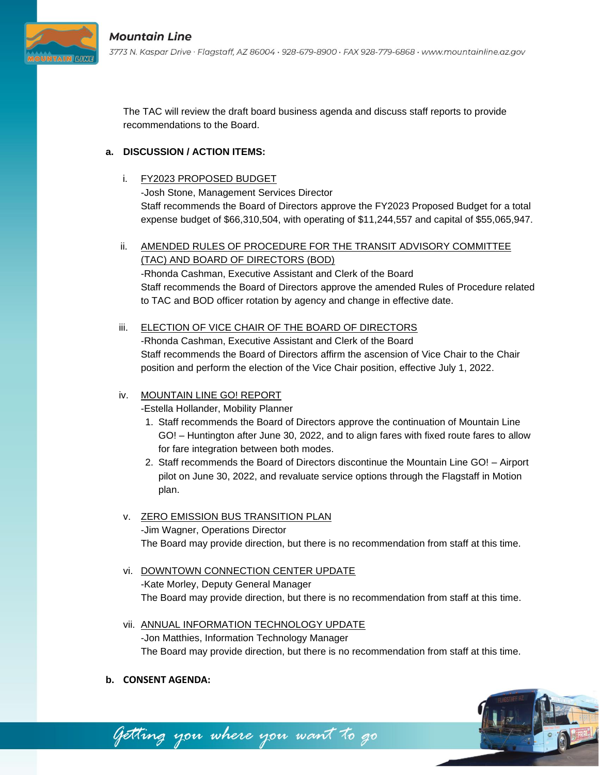

The TAC will review the draft board business agenda and discuss staff reports to provide recommendations to the Board.

#### **a. DISCUSSION / ACTION ITEMS:**

i. FY2023 PROPOSED BUDGET

-Josh Stone, Management Services Director Staff recommends the Board of Directors approve the FY2023 Proposed Budget for a total expense budget of \$66,310,504, with operating of \$11,244,557 and capital of \$55,065,947.

ii. AMENDED RULES OF PROCEDURE FOR THE TRANSIT ADVISORY COMMITTEE (TAC) AND BOARD OF DIRECTORS (BOD) -Rhonda Cashman, Executive Assistant and Clerk of the Board

Staff recommends the Board of Directors approve the amended Rules of Procedure related to TAC and BOD officer rotation by agency and change in effective date.

iii. ELECTION OF VICE CHAIR OF THE BOARD OF DIRECTORS

-Rhonda Cashman, Executive Assistant and Clerk of the Board Staff recommends the Board of Directors affirm the ascension of Vice Chair to the Chair position and perform the election of the Vice Chair position, effective July 1, 2022.

#### iv. MOUNTAIN LINE GO! REPORT

-Estella Hollander, Mobility Planner

Gétting you where you want to go

- 1. Staff recommends the Board of Directors approve the continuation of Mountain Line GO! – Huntington after June 30, 2022, and to align fares with fixed route fares to allow for fare integration between both modes.
- 2. Staff recommends the Board of Directors discontinue the Mountain Line GO! Airport pilot on June 30, 2022, and revaluate service options through the Flagstaff in Motion plan.
- v. ZERO EMISSION BUS TRANSITION PLAN -Jim Wagner, Operations Director The Board may provide direction, but there is no recommendation from staff at this time.
- vi. DOWNTOWN CONNECTION CENTER UPDATE -Kate Morley, Deputy General Manager The Board may provide direction, but there is no recommendation from staff at this time.
- vii. ANNUAL INFORMATION TECHNOLOGY UPDATE -Jon Matthies, Information Technology Manager The Board may provide direction, but there is no recommendation from staff at this time.
- **b. CONSENT AGENDA:**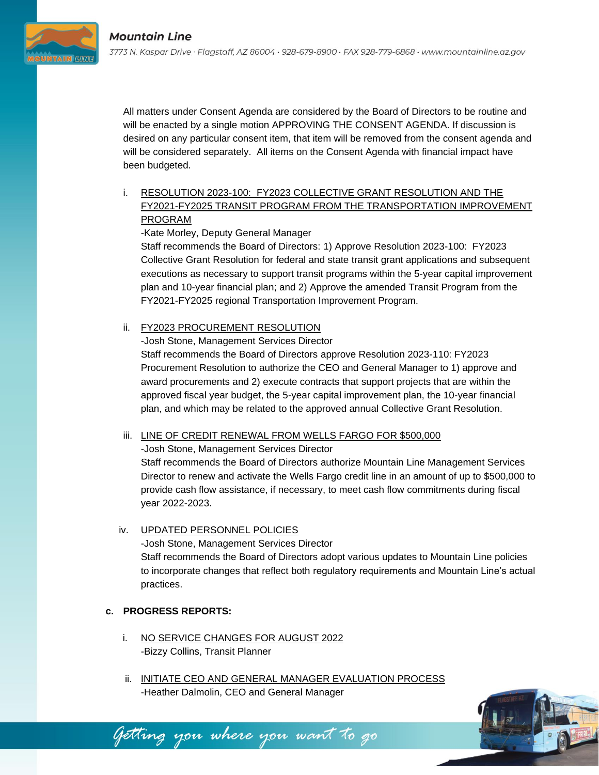

i. RESOLUTION 2023-100: FY2023 COLLECTIVE GRANT RESOLUTION AND THE FY2021-FY2025 TRANSIT PROGRAM FROM THE TRANSPORTATION IMPROVEMENT PROGRAM

-Kate Morley, Deputy General Manager

A **IN LUM** 

Staff recommends the Board of Directors: 1) Approve Resolution 2023-100: FY2023 Collective Grant Resolution for federal and state transit grant applications and subsequent executions as necessary to support transit programs within the 5-year capital improvement plan and 10-year financial plan; and 2) Approve the amended Transit Program from the FY2021-FY2025 regional Transportation Improvement Program.

#### ii. FY2023 PROCUREMENT RESOLUTION

-Josh Stone, Management Services Director

Staff recommends the Board of Directors approve Resolution 2023-110: FY2023 Procurement Resolution to authorize the CEO and General Manager to 1) approve and award procurements and 2) execute contracts that support projects that are within the approved fiscal year budget, the 5-year capital improvement plan, the 10-year financial plan, and which may be related to the approved annual Collective Grant Resolution.

iii. LINE OF CREDIT RENEWAL FROM WELLS FARGO FOR \$500,000

-Josh Stone, Management Services Director Staff recommends the Board of Directors authorize Mountain Line Management Services Director to renew and activate the Wells Fargo credit line in an amount of up to \$500,000 to provide cash flow assistance, if necessary, to meet cash flow commitments during fiscal year 2022-2023.

# iv. UPDATED PERSONNEL POLICIES

-Josh Stone, Management Services Director Staff recommends the Board of Directors adopt various updates to Mountain Line policies to incorporate changes that reflect both regulatory requirements and Mountain Line's actual practices.

#### **c. PROGRESS REPORTS:**

i. NO SERVICE CHANGES FOR AUGUST 2022 -Bizzy Collins, Transit Planner

Getting you where you want to go

ii. INITIATE CEO AND GENERAL MANAGER EVALUATION PROCESS -Heather Dalmolin, CEO and General Manager